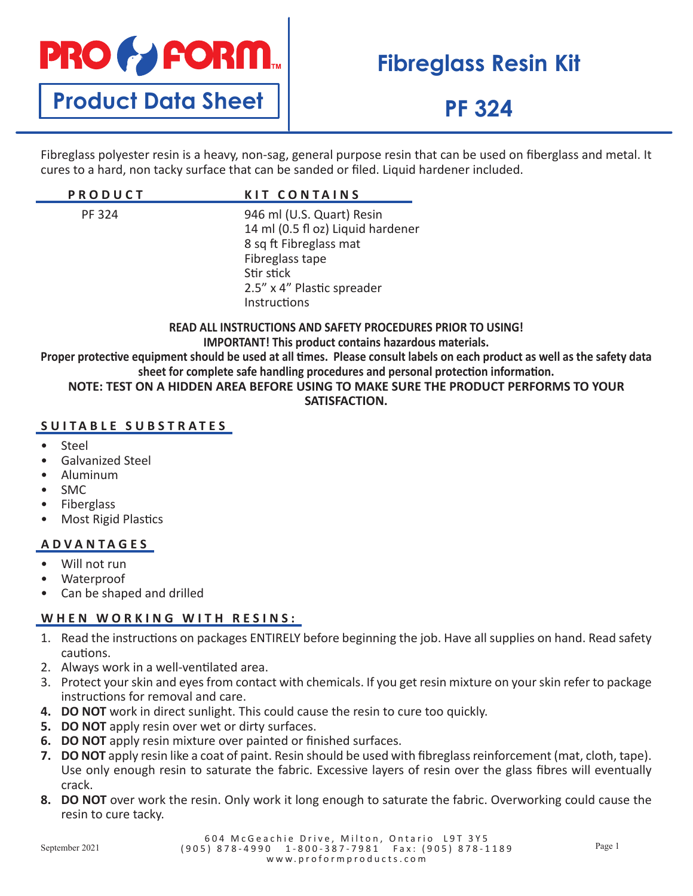

## **Fibreglass Resin Kit**

## **PF 324**

Fibreglass polyester resin is a heavy, non-sag, general purpose resin that can be used on fiberglass and metal. It cures to a hard, non tacky surface that can be sanded or filed. Liquid hardener included.

| <b>PRODUCT</b> | <b>KIT CONTAINS</b>                                                                                                                                                     |
|----------------|-------------------------------------------------------------------------------------------------------------------------------------------------------------------------|
| <b>PF 324</b>  | 946 ml (U.S. Quart) Resin<br>14 ml (0.5 fl oz) Liquid hardener<br>8 sq ft Fibreglass mat<br>Fibreglass tape<br>Stir stick<br>2.5" x 4" Plastic spreader<br>Instructions |

**READ ALL INSTRUCTIONS AND SAFETY PROCEDURES PRIOR TO USING!**

**IMPORTANT! This product contains hazardous materials.**

**Proper protective equipment should be used at all times. Please consult labels on each product as well as the safety data sheet for complete safe handling procedures and personal protection information.**

#### **NOTE: TEST ON A HIDDEN AREA BEFORE USING TO MAKE SURE THE PRODUCT PERFORMS TO YOUR SATISFACTION.**

### **SUITABLE SUBSTRATES**

- Steel
- Galvanized Steel
- Aluminum
- SMC
- **Fiberglass**
- Most Rigid Plastics

### **ADVANTAGES**

- Will not run
- Waterproof
- Can be shaped and drilled

### **WHEN WORKING WITH RESINS:**

- 1. Read the instructions on packages ENTIRELY before beginning the job. Have all supplies on hand. Read safety cautions.
- 2. Always work in a well-ventilated area.
- 3. Protect your skin and eyes from contact with chemicals. If you get resin mixture on your skin refer to package instructions for removal and care.
- **4. DO NOT** work in direct sunlight. This could cause the resin to cure too quickly.
- **5. DO NOT** apply resin over wet or dirty surfaces.
- **6. DO NOT** apply resin mixture over painted or finished surfaces.
- **7. DO NOT** apply resin like a coat of paint. Resin should be used with fibreglass reinforcement (mat, cloth, tape). Use only enough resin to saturate the fabric. Excessive layers of resin over the glass fibres will eventually crack.
- **8. DO NOT** over work the resin. Only work it long enough to saturate the fabric. Overworking could cause the resin to cure tacky.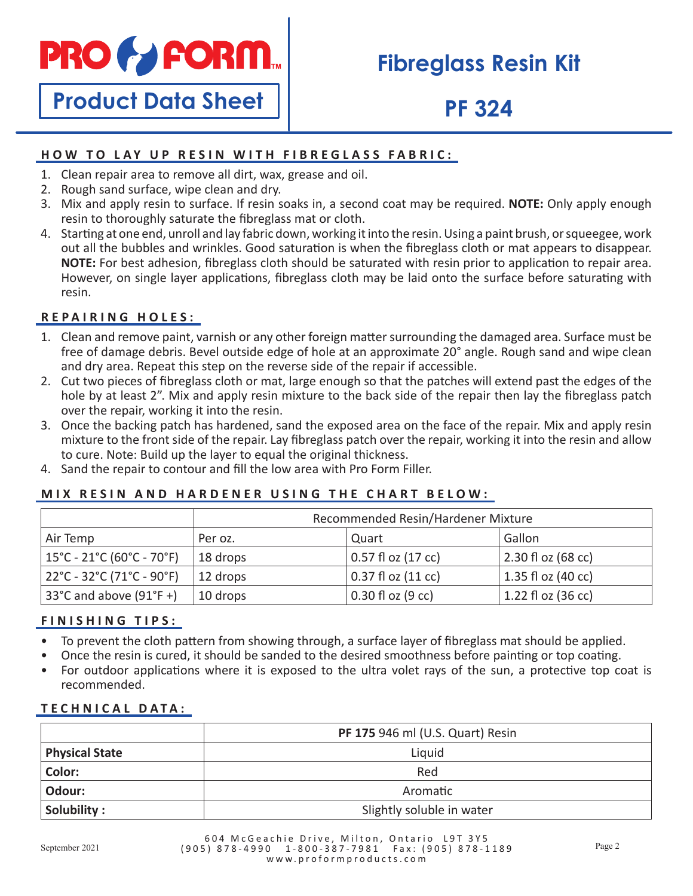

## **Fibreglass Resin Kit**

# **Product Data Sheet**

## **PF 324**

## **HOW TO LAY UP RESIN WITH FIBREGLASS FABRIC:**

- 1. Clean repair area to remove all dirt, wax, grease and oil.
- 2. Rough sand surface, wipe clean and dry.
- 3. Mix and apply resin to surface. If resin soaks in, a second coat may be required. **NOTE:** Only apply enough resin to thoroughly saturate the fibreglass mat or cloth.
- 4. Starting at one end, unroll and lay fabric down, working it into the resin. Using a paint brush, or squeegee, work out all the bubbles and wrinkles. Good saturation is when the fibreglass cloth or mat appears to disappear. **NOTE:** For best adhesion, fibreglass cloth should be saturated with resin prior to application to repair area. However, on single layer applications, fibreglass cloth may be laid onto the surface before saturating with resin.

## **REPAIRING HOLES:**

- 1. Clean and remove paint, varnish or any other foreign matter surrounding the damaged area. Surface must be free of damage debris. Bevel outside edge of hole at an approximate 20° angle. Rough sand and wipe clean and dry area. Repeat this step on the reverse side of the repair if accessible.
- 2. Cut two pieces of fibreglass cloth or mat, large enough so that the patches will extend past the edges of the hole by at least 2". Mix and apply resin mixture to the back side of the repair then lay the fibreglass patch over the repair, working it into the resin.
- 3. Once the backing patch has hardened, sand the exposed area on the face of the repair. Mix and apply resin mixture to the front side of the repair. Lay fibreglass patch over the repair, working it into the resin and allow to cure. Note: Build up the layer to equal the original thickness.
- 4. Sand the repair to contour and fill the low area with Pro Form Filler.

### **MIX RESIN AND HARDENER USING THE CHART BELOW:**

|                                                                      | Recommended Resin/Hardener Mixture |                        |                      |
|----------------------------------------------------------------------|------------------------------------|------------------------|----------------------|
| Air Temp                                                             | Per oz.                            | Quart                  | Gallon               |
| $15^{\circ}$ C - 21 $^{\circ}$ C (60 $^{\circ}$ C - 70 $^{\circ}$ F) | 18 drops                           | $0.57$ fl oz $(17$ cc) | $2.30 f$ oz (68 cc)  |
| $22^{\circ}$ C - 32 $^{\circ}$ C (71 $^{\circ}$ C - 90 $^{\circ}$ F) | 12 drops                           | 0.37 fl oz (11 cc)     | 1.35 fl oz (40 cc)   |
| 33°C and above $(91°F +)$                                            | 10 drops                           | $0.30$ fl oz (9 cc)    | $1.22$ fl oz (36 cc) |

### **FINISHING TIPS:**

- To prevent the cloth pattern from showing through, a surface layer of fibreglass mat should be applied.
- Once the resin is cured, it should be sanded to the desired smoothness before painting or top coating.
- For outdoor applications where it is exposed to the ultra volet rays of the sun, a protective top coat is recommended.

### **TECHNICAL DATA:**

|                       | <b>PF 175 946 ml (U.S. Quart) Resin</b> |
|-----------------------|-----------------------------------------|
| <b>Physical State</b> | Liquid                                  |
| Color:                | Red                                     |
| Odour:                | Aromatic                                |
| Solubility:           | Slightly soluble in water               |